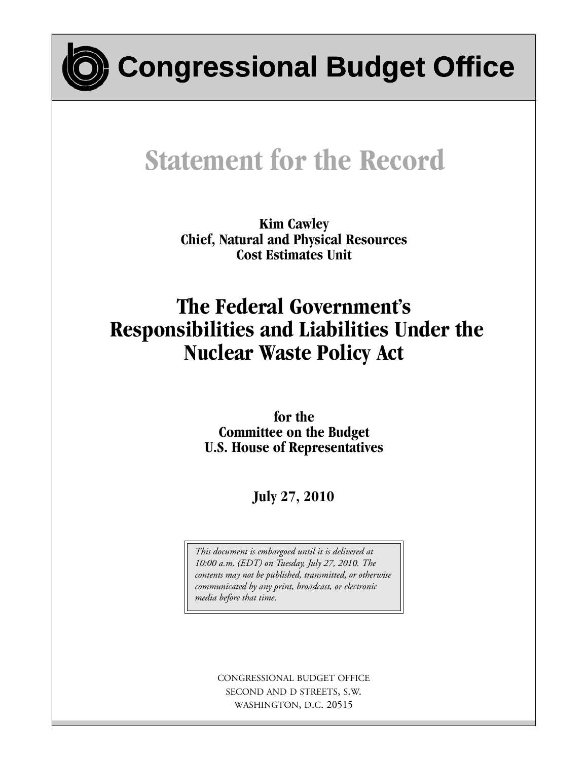

**Congressional Budget Office**

# **Statement for the Record**

**Kim Cawley Chief, Natural and Physical Resources Cost Estimates Unit**

## **The Federal Government's Responsibilities and Liabilities Under the Nuclear Waste Policy Act**

**for the Committee on the Budget U.S. House of Representatives**

**July 27, 2010**

*This document is embargoed until it is delivered at 10:00 a.m. (EDT) on Tuesday, July 27, 2010. The contents may not be published, transmitted, or otherwise communicated by any print, broadcast, or electronic media before that time.*

> CONGRESSIONAL BUDGET OFFICE SECOND AND D STREETS, S.W. WASHINGTON, D.C. 20515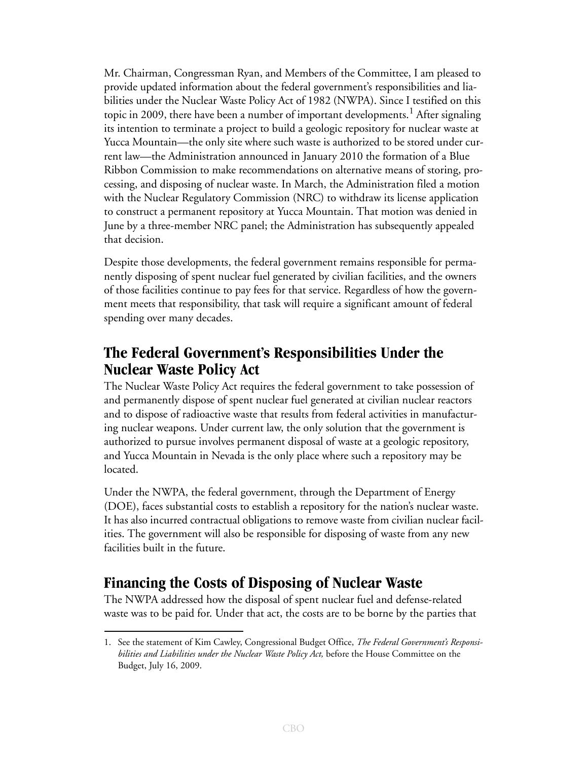Mr. Chairman, Congressman Ryan, and Members of the Committee, I am pleased to provide updated information about the federal government's responsibilities and liabilities under the Nuclear Waste Policy Act of 1982 (NWPA). Since I testified on this topic in 2009, there have been a number of important developments.<sup>1</sup> After signaling its intention to terminate a project to build a geologic repository for nuclear waste at Yucca Mountain—the only site where such waste is authorized to be stored under current law—the Administration announced in January 2010 the formation of a Blue Ribbon Commission to make recommendations on alternative means of storing, processing, and disposing of nuclear waste. In March, the Administration filed a motion with the Nuclear Regulatory Commission (NRC) to withdraw its license application to construct a permanent repository at Yucca Mountain. That motion was denied in June by a three-member NRC panel; the Administration has subsequently appealed that decision.

Despite those developments, the federal government remains responsible for permanently disposing of spent nuclear fuel generated by civilian facilities, and the owners of those facilities continue to pay fees for that service. Regardless of how the government meets that responsibility, that task will require a significant amount of federal spending over many decades.

## **The Federal Government's Responsibilities Under the Nuclear Waste Policy Act**

The Nuclear Waste Policy Act requires the federal government to take possession of and permanently dispose of spent nuclear fuel generated at civilian nuclear reactors and to dispose of radioactive waste that results from federal activities in manufacturing nuclear weapons. Under current law, the only solution that the government is authorized to pursue involves permanent disposal of waste at a geologic repository, and Yucca Mountain in Nevada is the only place where such a repository may be located.

Under the NWPA, the federal government, through the Department of Energy (DOE), faces substantial costs to establish a repository for the nation's nuclear waste. It has also incurred contractual obligations to remove waste from civilian nuclear facilities. The government will also be responsible for disposing of waste from any new facilities built in the future.

## **Financing the Costs of Disposing of Nuclear Waste**

The NWPA addressed how the disposal of spent nuclear fuel and defense-related waste was to be paid for. Under that act, the costs are to be borne by the parties that

<sup>1.</sup> See the statement of Kim Cawley, Congressional Budget Office, *The Federal Government's Responsibilities and Liabilities under the Nuclear Waste Policy Act,* before the House Committee on the Budget, July 16, 2009.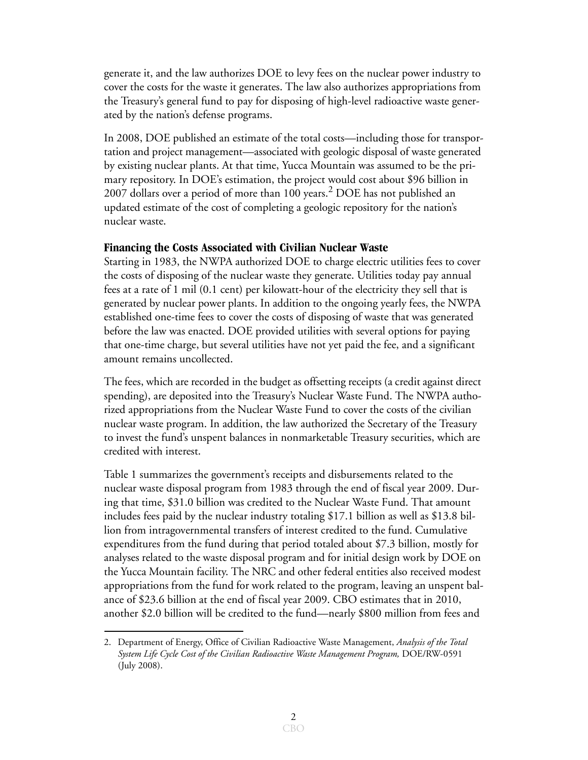generate it, and the law authorizes DOE to levy fees on the nuclear power industry to cover the costs for the waste it generates. The law also authorizes appropriations from the Treasury's general fund to pay for disposing of high-level radioactive waste generated by the nation's defense programs.

In 2008, DOE published an estimate of the total costs—including those for transportation and project management—associated with geologic disposal of waste generated by existing nuclear plants. At that time, Yucca Mountain was assumed to be the primary repository. In DOE's estimation, the project would cost about \$96 billion in 2007 dollars over a period of more than 100 years.2 DOE has not published an updated estimate of the cost of completing a geologic repository for the nation's nuclear waste.

#### **Financing the Costs Associated with Civilian Nuclear Waste**

Starting in 1983, the NWPA authorized DOE to charge electric utilities fees to cover the costs of disposing of the nuclear waste they generate. Utilities today pay annual fees at a rate of 1 mil (0.1 cent) per kilowatt-hour of the electricity they sell that is generated by nuclear power plants. In addition to the ongoing yearly fees, the NWPA established one-time fees to cover the costs of disposing of waste that was generated before the law was enacted. DOE provided utilities with several options for paying that one-time charge, but several utilities have not yet paid the fee, and a significant amount remains uncollected.

The fees, which are recorded in the budget as offsetting receipts (a credit against direct spending), are deposited into the Treasury's Nuclear Waste Fund. The NWPA authorized appropriations from the Nuclear Waste Fund to cover the costs of the civilian nuclear waste program. In addition, the law authorized the Secretary of the Treasury to invest the fund's unspent balances in nonmarketable Treasury securities, which are credited with interest.

[Table 1](#page-4-0) summarizes the government's receipts and disbursements related to the nuclear waste disposal program from 1983 through the end of fiscal year 2009. During that time, \$31.0 billion was credited to the Nuclear Waste Fund. That amount includes fees paid by the nuclear industry totaling \$17.1 billion as well as \$13.8 billion from intragovernmental transfers of interest credited to the fund. Cumulative expenditures from the fund during that period totaled about \$7.3 billion, mostly for analyses related to the waste disposal program and for initial design work by DOE on the Yucca Mountain facility. The NRC and other federal entities also received modest appropriations from the fund for work related to the program, leaving an unspent balance of \$23.6 billion at the end of fiscal year 2009. CBO estimates that in 2010, another \$2.0 billion will be credited to the fund—nearly \$800 million from fees and

<sup>2.</sup> Department of Energy, Office of Civilian Radioactive Waste Management, *Analysis of the Total System Life Cycle Cost of the Civilian Radioactive Waste Management Program,* DOE/RW-0591 (July 2008).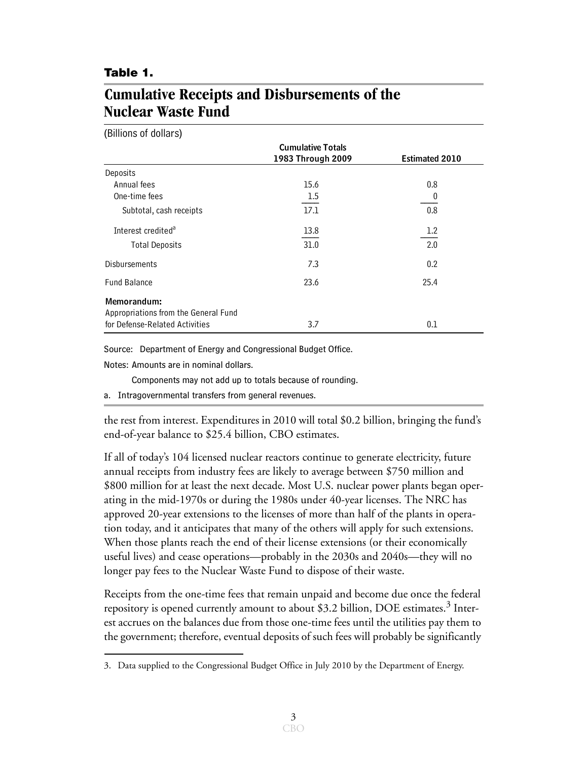#### <span id="page-4-0"></span>**Table 1.**

## **Cumulative Receipts and Disbursements of the Nuclear Waste Fund**

(Billions of dollars)

|                                      | <b>Cumulative Totals</b> |                       |
|--------------------------------------|--------------------------|-----------------------|
|                                      | 1983 Through 2009        | <b>Estimated 2010</b> |
| Deposits                             |                          |                       |
| Annual fees                          | 15.6                     | 0.8                   |
| One-time fees                        | 1.5                      | 0                     |
| Subtotal, cash receipts              | 17.1                     | 0.8                   |
| Interest credited <sup>a</sup>       | 13.8                     | 1.2                   |
| <b>Total Deposits</b>                | 31.0                     | 2.0                   |
| <b>Disbursements</b>                 | 7.3                      | 0.2                   |
| <b>Fund Balance</b>                  | 23.6                     | 25.4                  |
| Memorandum:                          |                          |                       |
| Appropriations from the General Fund |                          |                       |
| for Defense-Related Activities       | 3.7                      | 0.1                   |

Source: Department of Energy and Congressional Budget Office.

Notes: Amounts are in nominal dollars.

Components may not add up to totals because of rounding.

a. Intragovernmental transfers from general revenues.

the rest from interest. Expenditures in 2010 will total \$0.2 billion, bringing the fund's end-of-year balance to \$25.4 billion, CBO estimates.

If all of today's 104 licensed nuclear reactors continue to generate electricity, future annual receipts from industry fees are likely to average between \$750 million and \$800 million for at least the next decade. Most U.S. nuclear power plants began operating in the mid-1970s or during the 1980s under 40-year licenses. The NRC has approved 20-year extensions to the licenses of more than half of the plants in operation today, and it anticipates that many of the others will apply for such extensions. When those plants reach the end of their license extensions (or their economically useful lives) and cease operations—probably in the 2030s and 2040s—they will no longer pay fees to the Nuclear Waste Fund to dispose of their waste.

Receipts from the one-time fees that remain unpaid and become due once the federal repository is opened currently amount to about \$3.2 billion, DOE estimates.<sup>3</sup> Interest accrues on the balances due from those one-time fees until the utilities pay them to the government; therefore, eventual deposits of such fees will probably be significantly

<sup>3.</sup> Data supplied to the Congressional Budget Office in July 2010 by the Department of Energy.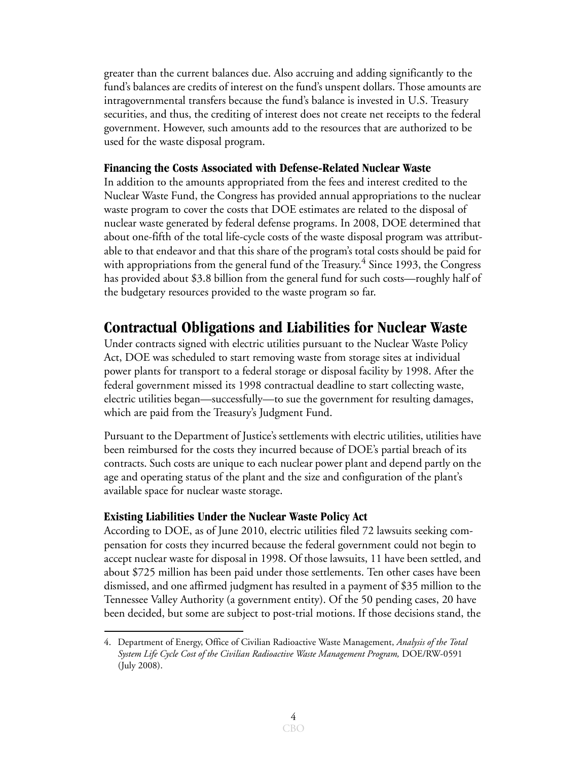greater than the current balances due. Also accruing and adding significantly to the fund's balances are credits of interest on the fund's unspent dollars. Those amounts are intragovernmental transfers because the fund's balance is invested in U.S. Treasury securities, and thus, the crediting of interest does not create net receipts to the federal government. However, such amounts add to the resources that are authorized to be used for the waste disposal program.

#### **Financing the Costs Associated with Defense-Related Nuclear Waste**

In addition to the amounts appropriated from the fees and interest credited to the Nuclear Waste Fund, the Congress has provided annual appropriations to the nuclear waste program to cover the costs that DOE estimates are related to the disposal of nuclear waste generated by federal defense programs. In 2008, DOE determined that about one-fifth of the total life-cycle costs of the waste disposal program was attributable to that endeavor and that this share of the program's total costs should be paid for with appropriations from the general fund of the Treasury.<sup>4</sup> Since 1993, the Congress has provided about \$3.8 billion from the general fund for such costs—roughly half of the budgetary resources provided to the waste program so far.

## **Contractual Obligations and Liabilities for Nuclear Waste**

Under contracts signed with electric utilities pursuant to the Nuclear Waste Policy Act, DOE was scheduled to start removing waste from storage sites at individual power plants for transport to a federal storage or disposal facility by 1998. After the federal government missed its 1998 contractual deadline to start collecting waste, electric utilities began—successfully—to sue the government for resulting damages, which are paid from the Treasury's Judgment Fund.

Pursuant to the Department of Justice's settlements with electric utilities, utilities have been reimbursed for the costs they incurred because of DOE's partial breach of its contracts. Such costs are unique to each nuclear power plant and depend partly on the age and operating status of the plant and the size and configuration of the plant's available space for nuclear waste storage.

### **Existing Liabilities Under the Nuclear Waste Policy Act**

According to DOE, as of June 2010, electric utilities filed 72 lawsuits seeking compensation for costs they incurred because the federal government could not begin to accept nuclear waste for disposal in 1998. Of those lawsuits, 11 have been settled, and about \$725 million has been paid under those settlements. Ten other cases have been dismissed, and one affirmed judgment has resulted in a payment of \$35 million to the Tennessee Valley Authority (a government entity). Of the 50 pending cases, 20 have been decided, but some are subject to post-trial motions. If those decisions stand, the

<sup>4.</sup> Department of Energy, Office of Civilian Radioactive Waste Management, *Analysis of the Total System Life Cycle Cost of the Civilian Radioactive Waste Management Program,* DOE/RW-0591 (July 2008).